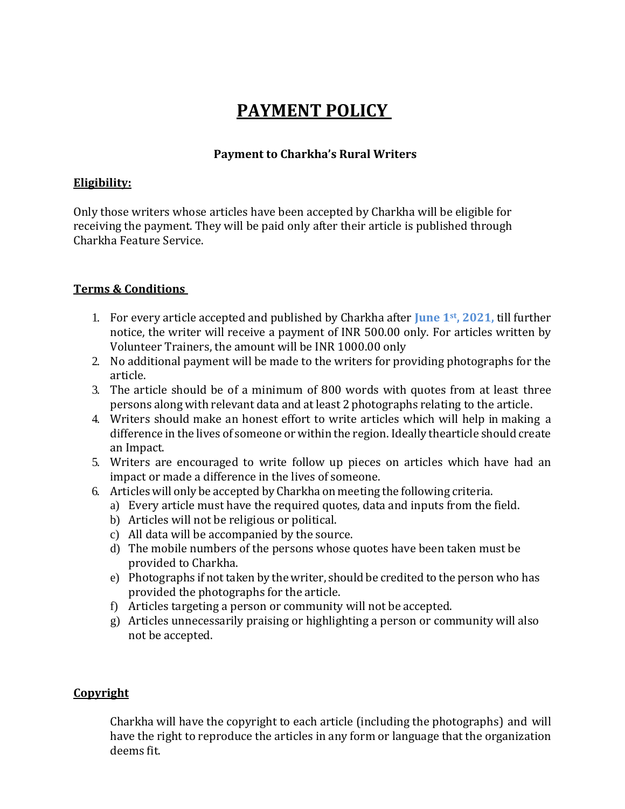# **PAYMENT POLICY**

## **Payment to Charkha's Rural Writers**

#### **Eligibility:**

Only those writers whose articles have been accepted by Charkha will be eligible for receiving the payment. They will be paid only after their article is published through Charkha Feature Service.

## **Terms & Conditions**

- 1. For every article accepted and published by Charkha after **June 1st , 2021,** till further notice, the writer will receive a payment of INR 500.00 only. For articles written by Volunteer Trainers, the amount will be INR 1000.00 only
- 2. No additional payment will be made to the writers for providing photographs for the article.
- 3. The article should be of a minimum of 800 words with quotes from at least three persons along with relevant data and at least 2 photographs relating to the article.
- 4. Writers should make an honest effort to write articles which will help in making a difference in the lives of someone or within the region. Ideally thearticle should create an Impact.
- 5. Writers are encouraged to write follow up pieces on articles which have had an impact or made a difference in the lives of someone.
- 6. Articles will only be accepted by Charkha on meeting the following criteria.
	- a) Every article must have the required quotes, data and inputs from the field.
	- b) Articles will not be religious or political.
	- c) All data will be accompanied by the source.
	- d) The mobile numbers of the persons whose quotes have been taken must be provided to Charkha.
	- e) Photographs if not taken by the writer, should be credited to the person who has provided the photographs for the article.
	- f) Articles targeting a person or community will not be accepted.
	- g) Articles unnecessarily praising or highlighting a person or community will also not be accepted.

## **Copyright**

Charkha will have the copyright to each article (including the photographs) and will have the right to reproduce the articles in any form or language that the organization deems fit.